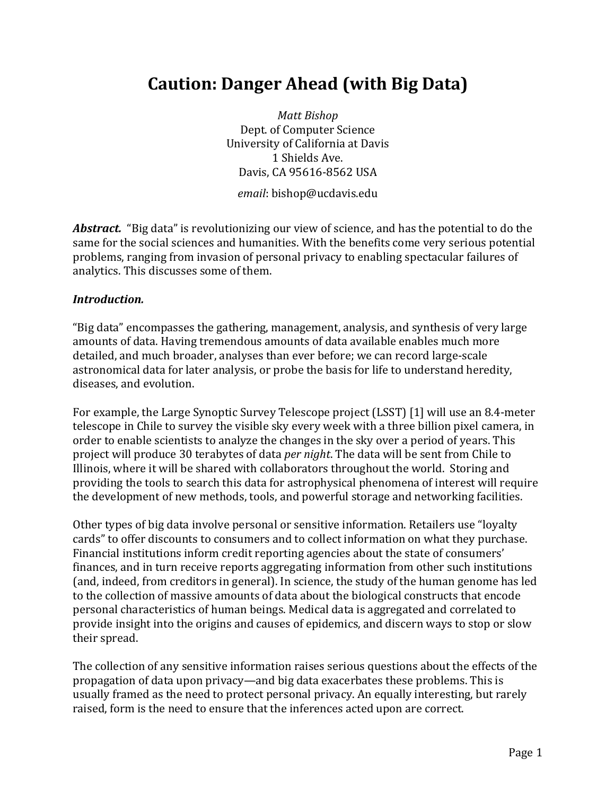# **Caution: Danger Ahead (with Big Data)**

*Matt Bishop* Dept. of Computer Science University of California at Davis 1 Shields Ave. Davis, CA 95616-8562 USA

*email*: bishop@ucdavis.edu

**Abstract.** "Big data" is revolutionizing our view of science, and has the potential to do the same for the social sciences and humanities. With the benefits come very serious potential problems, ranging from invasion of personal privacy to enabling spectacular failures of analytics. This discusses some of them.

#### *Introduction.*

"Big data" encompasses the gathering, management, analysis, and synthesis of very large amounts of data. Having tremendous amounts of data available enables much more detailed, and much broader, analyses than ever before; we can record large-scale astronomical data for later analysis, or probe the basis for life to understand heredity, diseases, and evolution.

For example, the Large Synoptic Survey Telescope project (LSST) [1] will use an 8.4-meter telescope in Chile to survey the visible sky every week with a three billion pixel camera, in order to enable scientists to analyze the changes in the sky over a period of years. This project will produce 30 terabytes of data *per night*. The data will be sent from Chile to Illinois, where it will be shared with collaborators throughout the world. Storing and providing the tools to search this data for astrophysical phenomena of interest will require the development of new methods, tools, and powerful storage and networking facilities.

Other types of big data involve personal or sensitive information. Retailers use "loyalty cards" to offer discounts to consumers and to collect information on what they purchase. Financial institutions inform credit reporting agencies about the state of consumers' finances, and in turn receive reports aggregating information from other such institutions (and, indeed, from creditors in general). In science, the study of the human genome has led to the collection of massive amounts of data about the biological constructs that encode personal characteristics of human beings. Medical data is aggregated and correlated to provide insight into the origins and causes of epidemics, and discern ways to stop or slow their spread.

The collection of any sensitive information raises serious questions about the effects of the propagation of data upon privacy—and big data exacerbates these problems. This is usually framed as the need to protect personal privacy. An equally interesting, but rarely raised, form is the need to ensure that the inferences acted upon are correct.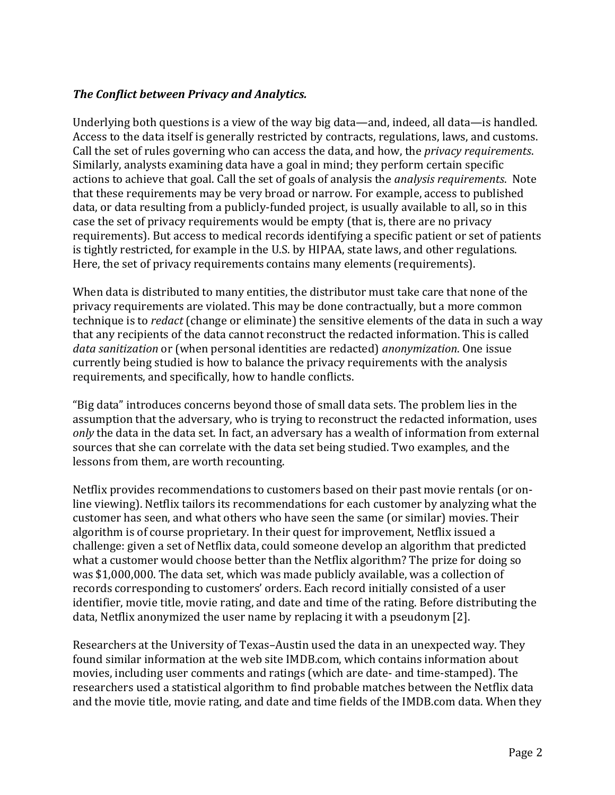### **The Conflict between Privacy and Analytics.**

Underlying both questions is a view of the way big data—and, indeed, all data—is handled. Access to the data itself is generally restricted by contracts, regulations, laws, and customs. Call the set of rules governing who can access the data, and how, the *privacy requirements*. Similarly, analysts examining data have a goal in mind; they perform certain specific actions to achieve that goal. Call the set of goals of analysis the *analysis requirements*. Note that these requirements may be very broad or narrow. For example, access to published data, or data resulting from a publicly-funded project, is usually available to all, so in this case the set of privacy requirements would be empty (that is, there are no privacy requirements). But access to medical records identifying a specific patient or set of patients is tightly restricted, for example in the U.S. by HIPAA, state laws, and other regulations. Here, the set of privacy requirements contains many elements (requirements).

When data is distributed to many entities, the distributor must take care that none of the privacy requirements are violated. This may be done contractually, but a more common technique is to *redact* (change or eliminate) the sensitive elements of the data in such a way that any recipients of the data cannot reconstruct the redacted information. This is called data sanitization or (when personal identities are redacted) *anonymization*. One issue currently being studied is how to balance the privacy requirements with the analysis requirements, and specifically, how to handle conflicts.

"Big data" introduces concerns beyond those of small data sets. The problem lies in the assumption that the adversary, who is trying to reconstruct the redacted information, uses *only* the data in the data set. In fact, an adversary has a wealth of information from external sources that she can correlate with the data set being studied. Two examples, and the lessons from them, are worth recounting.

Netflix provides recommendations to customers based on their past movie rentals (or online viewing). Netflix tailors its recommendations for each customer by analyzing what the customer has seen, and what others who have seen the same (or similar) movies. Their algorithm is of course proprietary. In their quest for improvement, Netflix issued a challenge: given a set of Netflix data, could someone develop an algorithm that predicted what a customer would choose better than the Netflix algorithm? The prize for doing so was \$1,000,000. The data set, which was made publicly available, was a collection of records corresponding to customers' orders. Each record initially consisted of a user identifier, movie title, movie rating, and date and time of the rating. Before distributing the data, Netflix anonymized the user name by replacing it with a pseudonym [2].

Researchers at the University of Texas-Austin used the data in an unexpected way. They found similar information at the web site IMDB.com, which contains information about movies, including user comments and ratings (which are date- and time-stamped). The researchers used a statistical algorithm to find probable matches between the Netflix data and the movie title, movie rating, and date and time fields of the IMDB.com data. When they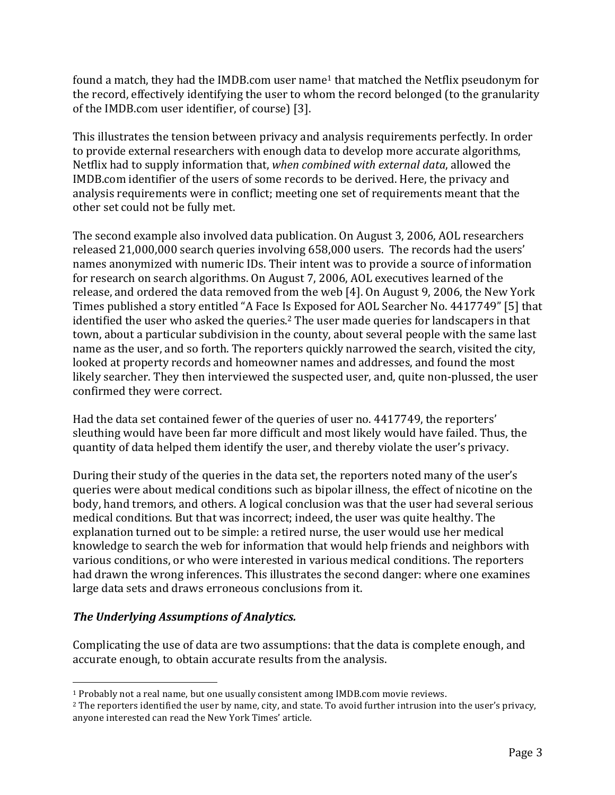found a match, they had the IMDB.com user name<sup>1</sup> that matched the Netflix pseudonym for the record, effectively identifying the user to whom the record belonged (to the granularity of the IMDB.com user identifier, of course) [3].

This illustrates the tension between privacy and analysis requirements perfectly. In order to provide external researchers with enough data to develop more accurate algorithms, Netflix had to supply information that, *when combined with external data*, allowed the IMDB.com identifier of the users of some records to be derived. Here, the privacy and analysis requirements were in conflict; meeting one set of requirements meant that the other set could not be fully met.

The second example also involved data publication. On August 3, 2006, AOL researchers released 21,000,000 search queries involving 658,000 users. The records had the users' names anonymized with numeric IDs. Their intent was to provide a source of information for research on search algorithms. On August 7, 2006, AOL executives learned of the release, and ordered the data removed from the web [4]. On August 9, 2006, the New York Times published a story entitled "A Face Is Exposed for AOL Searcher No. 4417749" [5] that identified the user who asked the queries.<sup>2</sup> The user made queries for landscapers in that town, about a particular subdivision in the county, about several people with the same last name as the user, and so forth. The reporters quickly narrowed the search, visited the city, looked at property records and homeowner names and addresses, and found the most likely searcher. They then interviewed the suspected user, and, quite non-plussed, the user confirmed they were correct.

Had the data set contained fewer of the queries of user no. 4417749, the reporters' sleuthing would have been far more difficult and most likely would have failed. Thus, the quantity of data helped them identify the user, and thereby violate the user's privacy.

During their study of the queries in the data set, the reporters noted many of the user's queries were about medical conditions such as bipolar illness, the effect of nicotine on the body, hand tremors, and others. A logical conclusion was that the user had several serious medical conditions. But that was incorrect; indeed, the user was quite healthy. The explanation turned out to be simple: a retired nurse, the user would use her medical knowledge to search the web for information that would help friends and neighbors with various conditions, or who were interested in various medical conditions. The reporters had drawn the wrong inferences. This illustrates the second danger: where one examines large data sets and draws erroneous conclusions from it.

### **The Underlying Assumptions of Analytics.**

Complicating the use of data are two assumptions: that the data is complete enough, and accurate enough, to obtain accurate results from the analysis.

 <sup>1</sup> Probably not a real name, but one usually consistent among IMDB.com movie reviews.

<sup>&</sup>lt;sup>2</sup> The reporters identified the user by name, city, and state. To avoid further intrusion into the user's privacy, anyone interested can read the New York Times' article.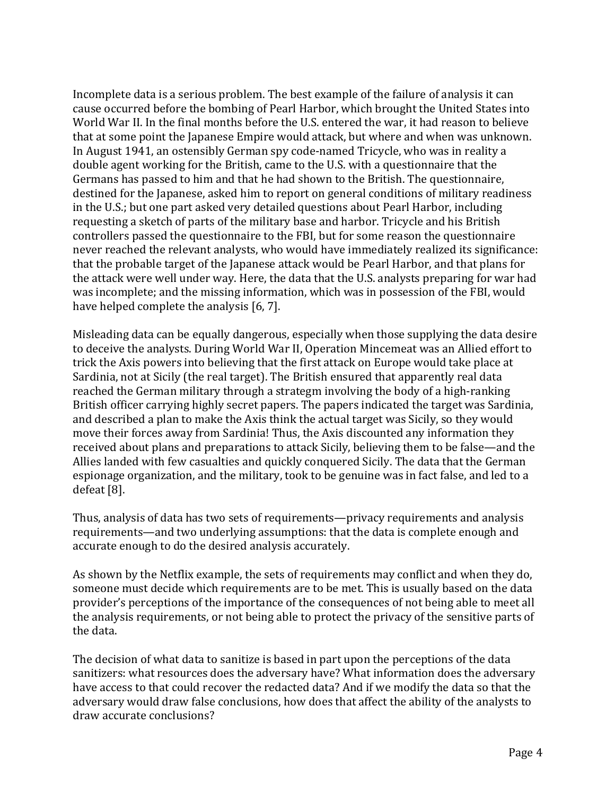Incomplete data is a serious problem. The best example of the failure of analysis it can cause occurred before the bombing of Pearl Harbor, which brought the United States into World War II. In the final months before the U.S. entered the war, it had reason to believe that at some point the Japanese Empire would attack, but where and when was unknown. In August 1941, an ostensibly German spy code-named Tricycle, who was in reality a double agent working for the British, came to the U.S. with a questionnaire that the Germans has passed to him and that he had shown to the British. The questionnaire, destined for the Japanese, asked him to report on general conditions of military readiness in the U.S.; but one part asked very detailed questions about Pearl Harbor, including requesting a sketch of parts of the military base and harbor. Tricycle and his British controllers passed the questionnaire to the FBI, but for some reason the questionnaire never reached the relevant analysts, who would have immediately realized its significance: that the probable target of the Japanese attack would be Pearl Harbor, and that plans for the attack were well under way. Here, the data that the U.S. analysts preparing for war had was incomplete; and the missing information, which was in possession of the FBI, would have helped complete the analysis  $[6, 7]$ .

Misleading data can be equally dangerous, especially when those supplying the data desire to deceive the analysts. During World War II, Operation Mincemeat was an Allied effort to trick the Axis powers into believing that the first attack on Europe would take place at Sardinia, not at Sicily (the real target). The British ensured that apparently real data reached the German military through a strategm involving the body of a high-ranking British officer carrying highly secret papers. The papers indicated the target was Sardinia, and described a plan to make the Axis think the actual target was Sicily, so they would move their forces away from Sardinia! Thus, the Axis discounted any information they received about plans and preparations to attack Sicily, believing them to be false—and the Allies landed with few casualties and quickly conquered Sicily. The data that the German espionage organization, and the military, took to be genuine was in fact false, and led to a defeat [8].

Thus, analysis of data has two sets of requirements—privacy requirements and analysis requirements—and two underlying assumptions: that the data is complete enough and accurate enough to do the desired analysis accurately.

As shown by the Netflix example, the sets of requirements may conflict and when they do, someone must decide which requirements are to be met. This is usually based on the data provider's perceptions of the importance of the consequences of not being able to meet all the analysis requirements, or not being able to protect the privacy of the sensitive parts of the data.

The decision of what data to sanitize is based in part upon the perceptions of the data sanitizers: what resources does the adversary have? What information does the adversary have access to that could recover the redacted data? And if we modify the data so that the adversary would draw false conclusions, how does that affect the ability of the analysts to draw accurate conclusions?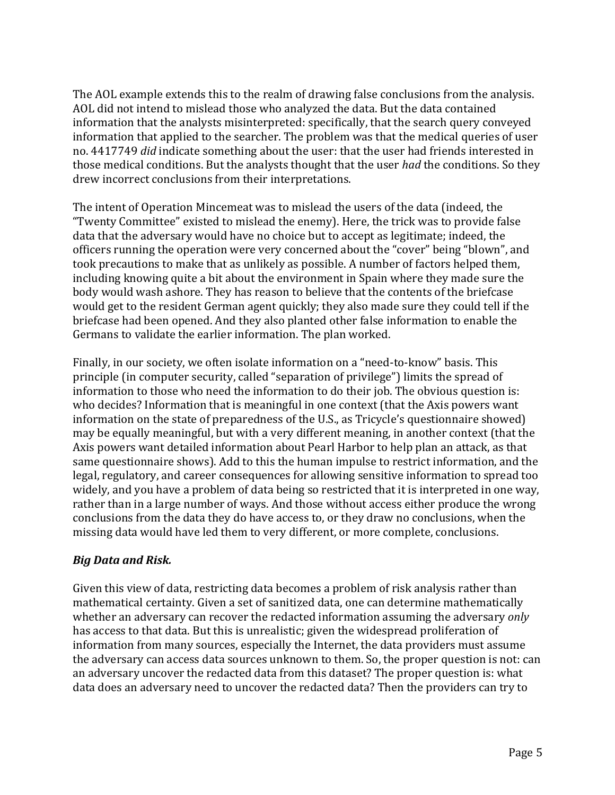The AOL example extends this to the realm of drawing false conclusions from the analysis. AOL did not intend to mislead those who analyzed the data. But the data contained information that the analysts misinterpreted: specifically, that the search query conveyed information that applied to the searcher. The problem was that the medical queries of user no. 4417749 *did* indicate something about the user: that the user had friends interested in those medical conditions. But the analysts thought that the user *had* the conditions. So they drew incorrect conclusions from their interpretations.

The intent of Operation Mincemeat was to mislead the users of the data (indeed, the "Twenty Committee" existed to mislead the enemy). Here, the trick was to provide false data that the adversary would have no choice but to accept as legitimate; indeed, the officers running the operation were very concerned about the "cover" being "blown", and took precautions to make that as unlikely as possible. A number of factors helped them, including knowing quite a bit about the environment in Spain where they made sure the body would wash ashore. They has reason to believe that the contents of the briefcase would get to the resident German agent quickly; they also made sure they could tell if the briefcase had been opened. And they also planted other false information to enable the Germans to validate the earlier information. The plan worked.

Finally, in our society, we often isolate information on a "need-to-know" basis. This principle (in computer security, called "separation of privilege") limits the spread of information to those who need the information to do their job. The obvious question is: who decides? Information that is meaningful in one context (that the Axis powers want information on the state of preparedness of the U.S., as Tricycle's questionnaire showed) may be equally meaningful, but with a very different meaning, in another context (that the Axis powers want detailed information about Pearl Harbor to help plan an attack, as that same questionnaire shows). Add to this the human impulse to restrict information, and the legal, regulatory, and career consequences for allowing sensitive information to spread too widely, and you have a problem of data being so restricted that it is interpreted in one way, rather than in a large number of ways. And those without access either produce the wrong conclusions from the data they do have access to, or they draw no conclusions, when the missing data would have led them to very different, or more complete, conclusions.

### *Big Data and Risk.*

Given this view of data, restricting data becomes a problem of risk analysis rather than mathematical certainty. Given a set of sanitized data, one can determine mathematically whether an adversary can recover the redacted information assuming the adversary *only* has access to that data. But this is unrealistic; given the widespread proliferation of information from many sources, especially the Internet, the data providers must assume the adversary can access data sources unknown to them. So, the proper question is not: can an adversary uncover the redacted data from this dataset? The proper question is: what data does an adversary need to uncover the redacted data? Then the providers can try to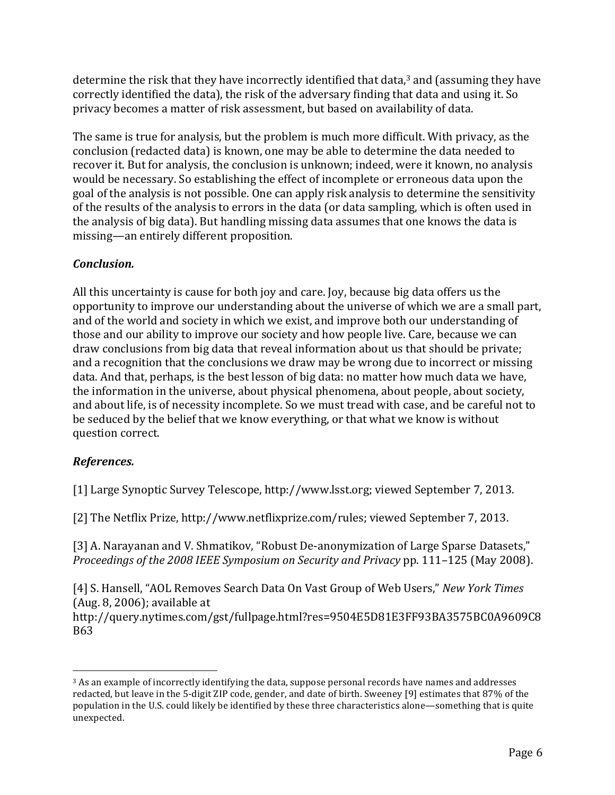determine the risk that they have incorrectly identified that data,<sup>3</sup> and (assuming they have correctly identified the data), the risk of the adversary finding that data and using it. So privacy becomes a matter of risk assessment, but based on availability of data.

The same is true for analysis, but the problem is much more difficult. With privacy, as the conclusion (redacted data) is known, one may be able to determine the data needed to recover it. But for analysis, the conclusion is unknown; indeed, were it known, no analysis would be necessary. So establishing the effect of incomplete or erroneous data upon the goal of the analysis is not possible. One can apply risk analysis to determine the sensitivity of the results of the analysis to errors in the data (or data sampling, which is often used in the analysis of big data). But handling missing data assumes that one knows the data is missing—an entirely different proposition.

## *Conclusion.*

All this uncertainty is cause for both joy and care. Joy, because big data offers us the opportunity to improve our understanding about the universe of which we are a small part, and of the world and society in which we exist, and improve both our understanding of those and our ability to improve our society and how people live. Care, because we can draw conclusions from big data that reveal information about us that should be private; and a recognition that the conclusions we draw may be wrong due to incorrect or missing data. And that, perhaps, is the best lesson of big data: no matter how much data we have, the information in the universe, about physical phenomena, about people, about society, and about life, is of necessity incomplete. So we must tread with case, and be careful not to be seduced by the belief that we know everything, or that what we know is without question correct.

# *References.*

 

[1] Large Synoptic Survey Telescope, http://www.lsst.org; viewed September 7, 2013.

[2] The Netflix Prize, http://www.netflixprize.com/rules; viewed September 7, 2013.

[3] A. Narayanan and V. Shmatikov, "Robust De-anonymization of Large Sparse Datasets," *Proceedings of the 2008 IEEE Symposium on Security and Privacy pp.* 111–125 (May 2008).

[4] S. Hansell, "AOL Removes Search Data On Vast Group of Web Users," *New York Times*  $(Aug. 8, 2006)$ ; available at

http://query.nytimes.com/gst/fullpage.html?res=9504E5D81E3FF93BA3575BC0A9609C8 B63

 $3$  As an example of incorrectly identifying the data, suppose personal records have names and addresses redacted, but leave in the 5-digit ZIP code, gender, and date of birth. Sweeney [9] estimates that 87% of the population in the U.S. could likely be identified by these three characteristics alone—something that is quite unexpected.